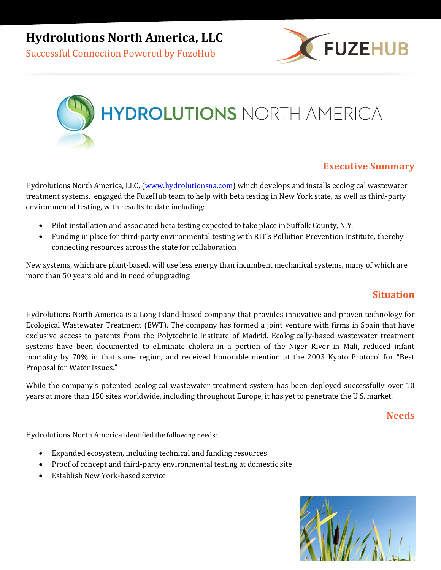**Hydrolutions North America, LLC**

Successful Connection Powered by FuzeHub





# **Executive Summary**

Hydrolutions North America, LLC, (www[.hydrolutionsna.com\)](http://hydrolutionsna.com/) which develops and installs ecological wastewater treatment systems, engaged the FuzeHub team to help with beta testing in New York state, as well as third-party environmental testing, with results to date including:

- Pilot installation and associated beta testing expected to take place in Suffolk County, N.Y.
- Funding in place for third-party environmental testing with RIT's Pollution Prevention Institute, thereby connecting resources across the state for collaboration

New systems, which are plant-based, will use less energy than incumbent mechanical systems, many of which are more than 50 years old and in need of upgrading

### **Situation**

Hydrolutions North America is a Long Island-based company that provides innovative and proven technology for Ecological Wastewater Treatment (EWT). The company has formed a joint venture with firms in Spain that have exclusive access to patents from the Polytechnic Institute of Madrid. Ecologically-based wastewater treatment systems have been documented to eliminate cholera in a portion of the Niger River in Mali, reduced infant mortality by 70% in that same region, and received honorable mention at the 2003 Kyoto Protocol for "Best Proposal for Water Issues."

While the company's patented ecological wastewater treatment system has been deployed successfully over 10 years at more than 150 sites worldwide, including throughout Europe, it has yet to penetrate the U.S. market.

#### **Needs**

Hydrolutions North America identified the following needs:

- Expanded ecosystem, including technical and funding resources
- Proof of concept and third-party environmental testing at domestic site
- Establish New York-based service